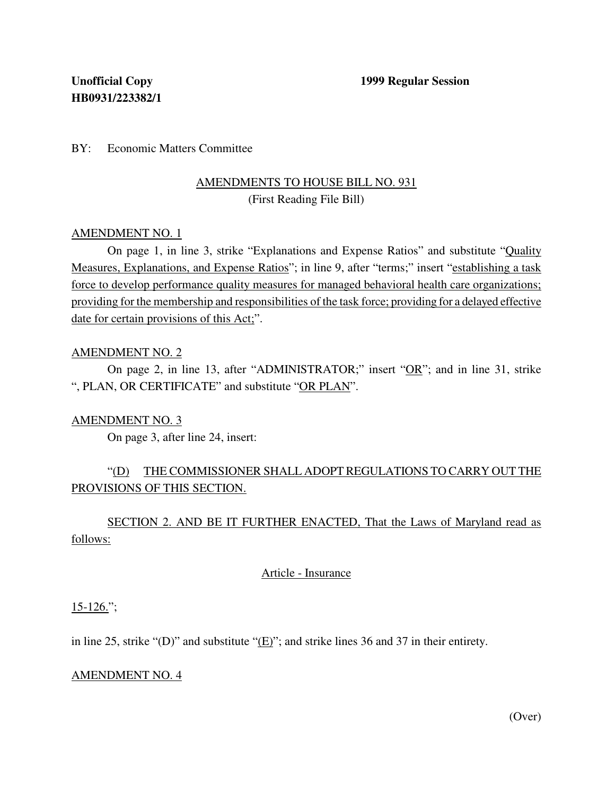## BY: Economic Matters Committee

## AMENDMENTS TO HOUSE BILL NO. 931 (First Reading File Bill)

### AMENDMENT NO. 1

On page 1, in line 3, strike "Explanations and Expense Ratios" and substitute "Quality Measures, Explanations, and Expense Ratios"; in line 9, after "terms;" insert "establishing a task force to develop performance quality measures for managed behavioral health care organizations; providing for the membership and responsibilities of the task force; providing for a delayed effective date for certain provisions of this Act;".

### AMENDMENT NO. 2

On page 2, in line 13, after "ADMINISTRATOR;" insert "OR"; and in line 31, strike ", PLAN, OR CERTIFICATE" and substitute "OR PLAN".

### AMENDMENT NO. 3

On page 3, after line 24, insert:

# "(D) THE COMMISSIONER SHALL ADOPT REGULATIONS TO CARRY OUT THE PROVISIONS OF THIS SECTION.

SECTION 2. AND BE IT FURTHER ENACTED, That the Laws of Maryland read as follows:

## Article - Insurance

 $15-126$ .";

in line 25, strike "(D)" and substitute " $(E)$ "; and strike lines 36 and 37 in their entirety.

### AMENDMENT NO. 4

(Over)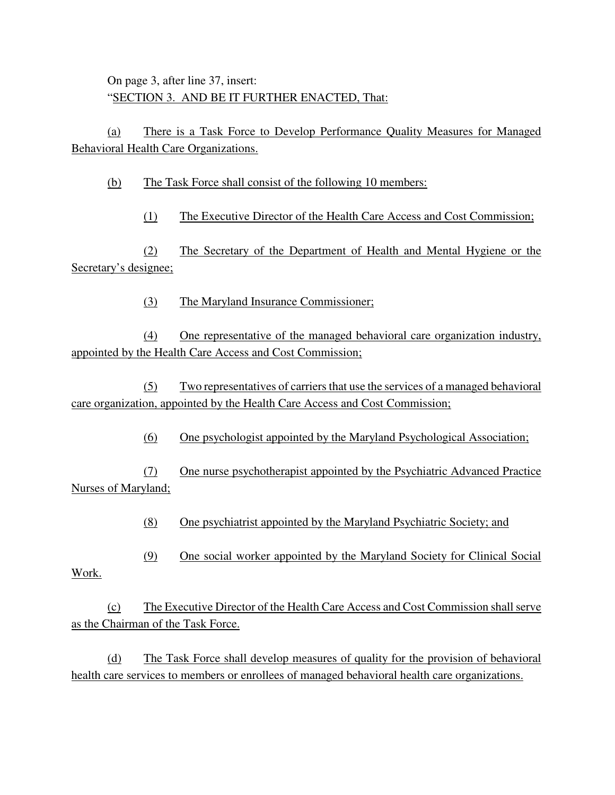On page 3, after line 37, insert: "SECTION 3. AND BE IT FURTHER ENACTED, That:

(a) There is a Task Force to Develop Performance Quality Measures for Managed Behavioral Health Care Organizations.

(b) The Task Force shall consist of the following 10 members:

(1) The Executive Director of the Health Care Access and Cost Commission;

(2) The Secretary of the Department of Health and Mental Hygiene or the Secretary's designee;

(3) The Maryland Insurance Commissioner;

(4) One representative of the managed behavioral care organization industry, appointed by the Health Care Access and Cost Commission;

(5) Two representatives of carriersthat use the services of a managed behavioral care organization, appointed by the Health Care Access and Cost Commission;

(6) One psychologist appointed by the Maryland Psychological Association;

(7) One nurse psychotherapist appointed by the Psychiatric Advanced Practice Nurses of Maryland;

(8) One psychiatrist appointed by the Maryland Psychiatric Society; and

(9) One social worker appointed by the Maryland Society for Clinical Social

Work.

(c) The Executive Director of the Health Care Access and Cost Commission shallserve as the Chairman of the Task Force.

(d) The Task Force shall develop measures of quality for the provision of behavioral health care services to members or enrollees of managed behavioral health care organizations.